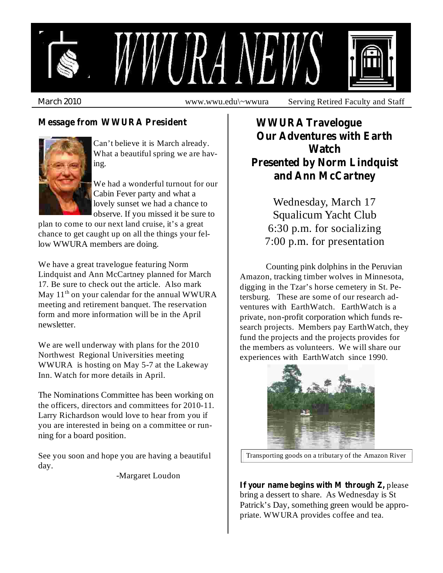

*March 2010* www.wwu.edu\~wwura Serving Retired Faculty and Staff

#### **Message from WWURA President WWURA Travelogue**



Can't believe it is March already. What a beautiful spring we are having.

We had a wonderful turnout for our Cabin Fever party and what a lovely sunset we had a chance to observe. If you missed it be sure to

plan to come to our next land cruise, it's a great chance to get caught up on all the things your fellow WWURA members are doing.

We have a great travelogue featuring Norm Lindquist and Ann McCartney planned for March 17. Be sure to check out the article. Also mark May 11<sup>th</sup> on your calendar for the annual WWURA meeting and retirement banquet. The reservation form and more information will be in the April newsletter.

We are well underway with plans for the 2010 Northwest Regional Universities meeting WWURA is hosting on May 5-7 at the Lakeway Inn. Watch for more details in April.

The Nominations Committee has been working on the officers, directors and committees for 2010-11. Larry Richardson would love to hear from you if you are interested in being on a committee or running for a board position.

See you soon and hope you are having a beautiful day.

-Margaret Loudon

# **Our Adventures with Earth Watch Presented by Norm Lindquist and Ann McCartney**

Wednesday, March 17 Squalicum Yacht Club 6:30 p.m. for socializing 7:00 p.m. for presentation

Counting pink dolphins in the Peruvian Amazon, tracking timber wolves in Minnesota, digging in the Tzar's horse cemetery in St. Petersburg. These are some of our research adventures with EarthWatch. EarthWatch is a private, non-profit corporation which funds research projects. Members pay EarthWatch, they fund the projects and the projects provides for the members as volunteers. We will share our experiences with EarthWatch since 1990.



Transporting goods on a tributary of the Amazon River

**If** your name begins with M through Z, please bring a dessert to share. As Wednesday is St Patrick's Day, something green would be appropriate. WWURA provides coffee and tea.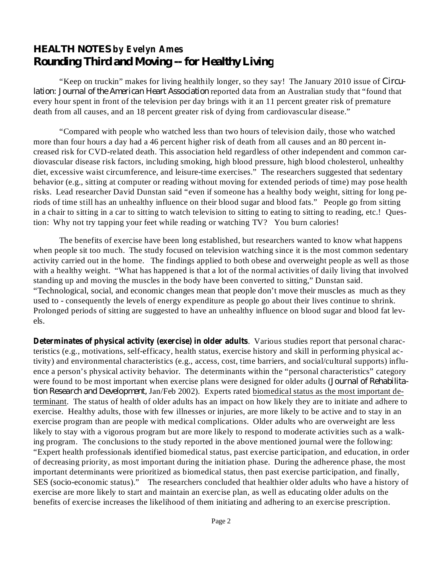# *HEALTH NOTES* **by Evelyn Ames** *Rounding Third and Moving -- for Healthy Living*

"Keep on truckin" makes for living healthily longer, so they say! The January 2010 issue of *Circu*lation: Journal of the American Heart Association reported data from an Australian study that "found that every hour spent in front of the television per day brings with it an 11 percent greater risk of premature death from all causes, and an 18 percent greater risk of dying from cardiovascular disease."

"Compared with people who watched less than two hours of television daily, those who watched more than four hours a day had a 46 percent higher risk of death from all causes and an 80 percent increased risk for CVD-related death. This association held regardless of other independent and common cardiovascular disease risk factors, including smoking, high blood pressure, high blood cholesterol, unhealthy diet, excessive waist circumference, and leisure-time exercises." The researchers suggested that sedentary behavior (e.g., sitting at computer or reading without moving for extended periods of time) may pose health risks. Lead researcher David Dunstan said "even if someone has a healthy body weight, sitting for long periods of time still has an unhealthy influence on their blood sugar and blood fats." People go from sitting in a chair to sitting in a car to sitting to watch television to sitting to eating to sitting to reading, etc.! Question: Why not try tapping your feet while reading or watching TV? You burn calories!

The benefits of exercise have been long established, but researchers wanted to know what happens when people sit too much. The study focused on television watching since it is the most common sedentary activity carried out in the home. The findings applied to both obese and overweight people as well as those with a healthy weight. "What has happened is that a lot of the normal activities of daily living that involved standing up and moving the muscles in the body have been converted to sitting," Dunstan said. "Technological, social, and economic changes mean that people don't move their muscles as much as they used to - consequently the levels of energy expenditure as people go about their lives continue to shrink. Prolonged periods of sitting are suggested to have an unhealthy influence on blood sugar and blood fat levels.

**Determinates of physical activity (exercise) in older adults** . Various studies report that personal characteristics (e.g., motivations, self-efficacy, health status, exercise history and skill in performing physical activity) and environmental characteristics (e.g., access, cost, time barriers, and social/cultural supports) influence a person's physical activity behavior. The determinants within the "personal characteristics" category were found to be most important when exercise plans were designed for older adults ( *Journal of Rehabilita*tion Research and Development, Jan/Feb 2002). Experts rated biomedical status as the most important determinant. The status of health of older adults has an impact on how likely they are to initiate and adhere to exercise. Healthy adults, those with few illnesses or injuries, are more likely to be active and to stay in an exercise program than are people with medical complications. Older adults who are overweight are less likely to stay with a vigorous program but are more likely to respond to moderate activities such as a walking program. The conclusions to the study reported in the above mentioned journal were the following: "Expert health professionals identified biomedical status, past exercise participation, and education, in order of decreasing priority, as most important during the initiation phase. During the adherence phase, the most important determinants were prioritized as biomedical status, then past exercise participation, and finally, SES (socio-economic status)." The researchers concluded that healthier older adults who have a history of exercise are more likely to start and maintain an exercise plan, as well as educating older adults on the benefits of exercise increases the likelihood of them initiating and adhering to an exercise prescription.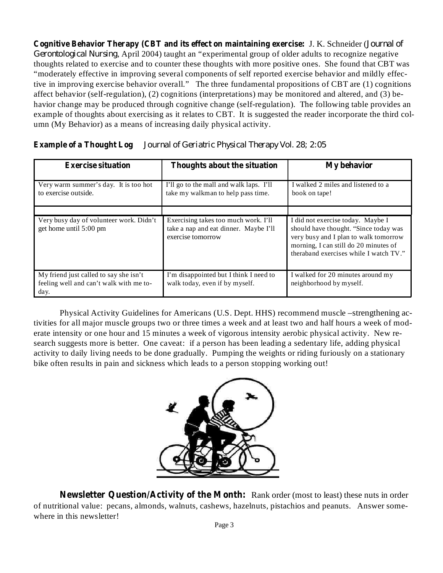**Cognitive Behavior Therapy (CBT and its effect on maintaining exercise:** J. K. Schneider ( *Journal of* Gerontological Nursing, April 2004) taught an "experimental group of older adults to recognize negative thoughts related to exercise and to counter these thoughts with more positive ones. She found that CBT was "moderately effective in improving several components of self reported exercise behavior and mildly effective in improving exercise behavior overall." The three fundamental propositions of CBT are (1) cognitions affect behavior (self-regulation), (2) cognitions (interpretations) may be monitored and altered, and (3) behavior change may be produced through cognitive change (self-regulation). The following table provides an example of thoughts about exercising as it relates to CBT. It is suggested the reader incorporate the third column (My Behavior) as a means of increasing daily physical activity.

| <b>Exercise situation</b>                                                                 | Thoughts about the situation                                                                       | My behavior                                                                                                                                                                                            |
|-------------------------------------------------------------------------------------------|----------------------------------------------------------------------------------------------------|--------------------------------------------------------------------------------------------------------------------------------------------------------------------------------------------------------|
| Very warm summer's day. It is too hot<br>to exercise outside.                             | I'll go to the mall and walk laps. I'll<br>take my walkman to help pass time.                      | I walked 2 miles and listened to a<br>book on tape!                                                                                                                                                    |
|                                                                                           |                                                                                                    |                                                                                                                                                                                                        |
| Very busy day of volunteer work. Didn't<br>get home until 5:00 pm                         | Exercising takes too much work. I'll<br>take a nap and eat dinner. Maybe I'll<br>exercise tomorrow | I did not exercise today. Maybe I<br>should have thought. "Since today was<br>very busy and I plan to walk tomorrow<br>morning, I can still do 20 minutes of<br>theraband exercises while I watch TV." |
| My friend just called to say she isn't<br>feeling well and can't walk with me to-<br>day. | I'm disappointed but I think I need to<br>walk today, even if by myself.                           | I walked for 20 minutes around my<br>neighborhood by myself.                                                                                                                                           |

#### **Example of a Thought Log** *Journal of Geriatric Physical Therapy Vol. 28; 2:05*

Physical Activity Guidelines for Americans (U.S. Dept. HHS) recommend muscle –strengthening activities for all major muscle groups two or three times a week and at least two and half hours a week of moderate intensity or one hour and 15 minutes a week of vigorous intensity aerobic physical activity. New research suggests more is better. One caveat: if a person has been leading a sedentary life, adding physical activity to daily living needs to be done gradually. Pumping the weights or riding furiously on a stationary bike often results in pain and sickness which leads to a person stopping working out!



**Newsletter Question/Activity of the Month:** Rank order (most to least) these nuts in order of nutritional value: pecans, almonds, walnuts, cashews, hazelnuts, pistachios and peanuts. Answer somewhere in this newsletter!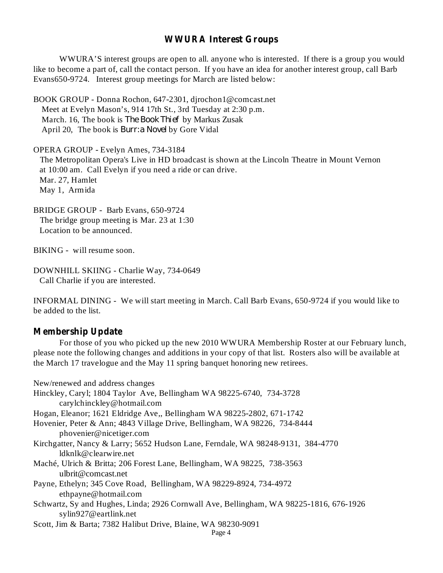#### **WWURA Interest Groups**

WWURA'S interest groups are open to all. anyone who is interested. If there is a group you would like to become a part of, call the contact person. If you have an idea for another interest group, call Barb Evans650-9724. Interest group meetings for March are listed below:

BOOK GROUP - Donna Rochon, 647-2301, djrochon1@comcast.net Meet at Evelyn Mason's, 914 17th St., 3rd Tuesday at 2:30 p.m. March. 16, The book is *The Book Thief* by Markus Zusak April 20, The book is *Burr:a Novel* by Gore Vidal

OPERA GROUP - Evelyn Ames, 734-3184

The Metropolitan Opera's Live in HD broadcast is shown at the Lincoln Theatre in Mount Vernon at 10:00 am. Call Evelyn if you need a ride or can drive. Mar. 27, Hamlet May 1, Armida

BRIDGE GROUP - Barb Evans, 650-9724 The bridge group meeting is Mar. 23 at 1:30 Location to be announced.

BIKING - will resume soon.

DOWNHILL SKIING - Charlie Way, 734-0649 Call Charlie if you are interested.

INFORMAL DINING - We will start meeting in March. Call Barb Evans, 650-9724 if you would like to be added to the list.

#### **Membership Update**

For those of you who picked up the new 2010 WWURA Membership Roster at our February lunch, please note the following changes and additions in your copy of that list. Rosters also will be available at the March 17 travelogue and the May 11 spring banquet honoring new retirees.

New/renewed and address changes Hinckley, Caryl; 1804 Taylor Ave, Bellingham WA 98225-6740, 734-3728 carylchinckley@hotmail.com Hogan, Eleanor; 1621 Eldridge Ave,, Bellingham WA 98225-2802, 671-1742 Hovenier, Peter & Ann; 4843 Village Drive, Bellingham, WA 98226, 734-8444 phovenier@nicetiger.com Kirchgatter, Nancy & Larry; 5652 Hudson Lane, Ferndale, WA 98248-9131, 384-4770 ldknlk@clearwire.net Maché, Ulrich & Britta; 206 Forest Lane, Bellingham, WA 98225, 738-3563 ulbrit@comcast.net Payne, Ethelyn; 345 Cove Road, Bellingham, WA 98229-8924, 734-4972 ethpayne@hotmail.com Schwartz, Sy and Hughes, Linda; 2926 Cornwall Ave, Bellingham, WA 98225-1816, 676-1926 sylin927@eartlink.net Scott, Jim & Barta; 7382 Halibut Drive, Blaine, WA 98230-9091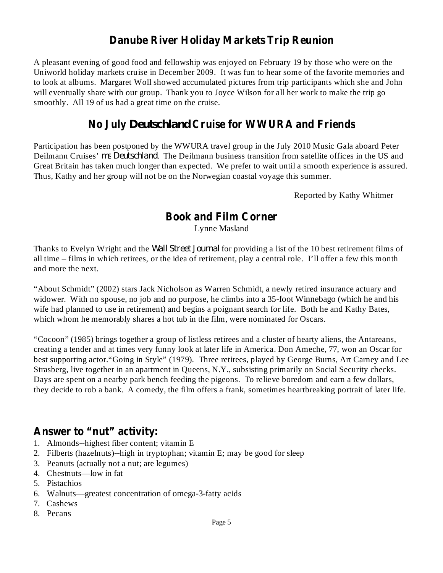# **Danube River Holiday Markets Trip Reunion**

A pleasant evening of good food and fellowship was enjoyed on February 19 by those who were on the Uniworld holiday markets cruise in December 2009. It was fun to hear some of the favorite memories and to look at albums. Margaret Woll showed accumulated pictures from trip participants which she and John will eventually share with our group. Thank you to Joyce Wilson for all her work to make the trip go smoothly. All 19 of us had a great time on the cruise.

# **No July Cruise for WWURA and Friends** *Deutschland*

Participation has been postponed by the WWURA travel group in the July 2010 Music Gala aboard Peter Deilmann Cruises' ms Deutschland. The Deilmann business transition from satellite offices in the US and Great Britain has taken much longer than expected. We prefer to wait until a smooth experience is assured. Thus, Kathy and her group will not be on the Norwegian coastal voyage this summer.

Reported by Kathy Whitmer

## **Book and Film Corner**

Lynne Masland

Thanks to Evelyn Wright and the *Wall Street Journal* for providing a list of the 10 best retirement films of all time – films in which retirees, or the idea of retirement, play a central role. I'll offer a few this month and more the next.

"About Schmidt" (2002) stars Jack Nicholson as Warren Schmidt, a newly retired insurance actuary and widower. With no spouse, no job and no purpose, he climbs into a 35-foot Winnebago (which he and his wife had planned to use in retirement) and begins a poignant search for life. Both he and Kathy Bates, which whom he memorably shares a hot tub in the film, were nominated for Oscars.

"Cocoon" (1985) brings together a group of listless retirees and a cluster of hearty aliens, the Antareans, creating a tender and at times very funny look at later life in America. Don Ameche, 77, won an Oscar for best supporting actor."Going in Style" (1979). Three retirees, played by George Burns, Art Carney and Lee Strasberg, live together in an apartment in Queens, N.Y., subsisting primarily on Social Security checks. Days are spent on a nearby park bench feeding the pigeons. To relieve boredom and earn a few dollars, they decide to rob a bank. A comedy, the film offers a frank, sometimes heartbreaking portrait of later life.

## **Answer to "nut" activity:**

- 1. Almonds--highest fiber content; vitamin E
- 2. Filberts (hazelnuts)--high in tryptophan; vitamin E; may be good for sleep
- 3. Peanuts (actually not a nut; are legumes)
- 4. Chestnuts—low in fat
- 5. Pistachios
- 6. Walnuts—greatest concentration of omega-3-fatty acids
- 7. Cashews
- 8. Pecans